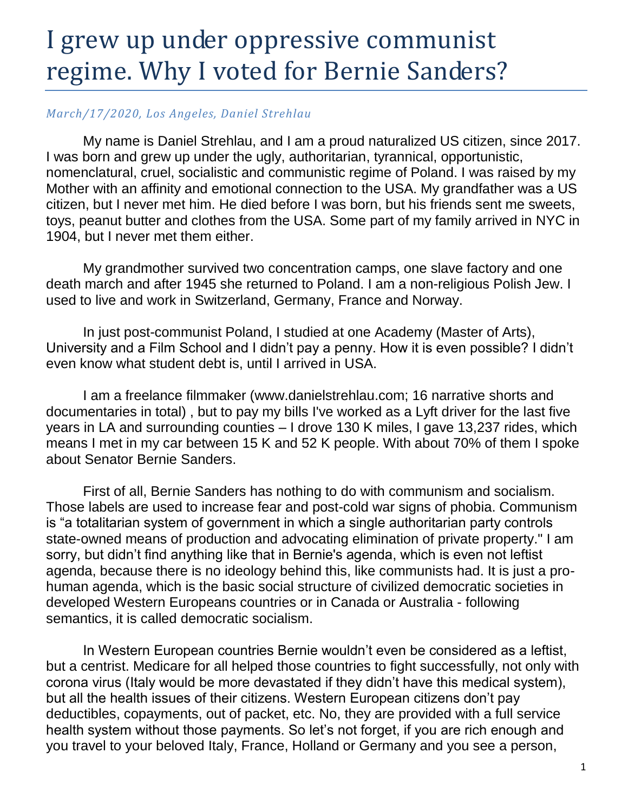## I grew up under oppressive communist regime. Why I voted for Bernie Sanders?

## *March/17/2020, Los Angeles, Daniel Strehlau*

My name is Daniel Strehlau, and I am a proud naturalized US citizen, since 2017. I was born and grew up under the ugly, authoritarian, tyrannical, opportunistic, nomenclatural, cruel, socialistic and communistic regime of Poland. I was raised by my Mother with an affinity and emotional connection to the USA. My grandfather was a US citizen, but I never met him. He died before I was born, but his friends sent me sweets, toys, peanut butter and clothes from the USA. Some part of my family arrived in NYC in 1904, but I never met them either.

My grandmother survived two concentration camps, one slave factory and one death march and after 1945 she returned to Poland. I am a non-religious Polish Jew. I used to live and work in Switzerland, Germany, France and Norway.

In just post-communist Poland, I studied at one Academy (Master of Arts), University and a Film School and I didn't pay a penny. How it is even possible? I didn't even know what student debt is, until I arrived in USA.

I am a freelance filmmaker (www.danielstrehlau.com; 16 narrative shorts and documentaries in total) , but to pay my bills I've worked as a Lyft driver for the last five years in LA and surrounding counties – I drove 130 K miles, I gave 13,237 rides, which means I met in my car between 15 K and 52 K people. With about 70% of them I spoke about Senator Bernie Sanders.

First of all, Bernie Sanders has nothing to do with communism and socialism. Those labels are used to increase fear and post-cold war signs of phobia. Communism is "a totalitarian system of government in which a single authoritarian party controls state-owned means of production and advocating elimination of private property." I am sorry, but didn't find anything like that in Bernie's agenda, which is even not leftist agenda, because there is no ideology behind this, like communists had. It is just a prohuman agenda, which is the basic social structure of civilized democratic societies in developed Western Europeans countries or in Canada or Australia - following semantics, it is called democratic socialism.

In Western European countries Bernie wouldn't even be considered as a leftist, but a centrist. Medicare for all helped those countries to fight successfully, not only with corona virus (Italy would be more devastated if they didn't have this medical system), but all the health issues of their citizens. Western European citizens don't pay deductibles, copayments, out of packet, etc. No, they are provided with a full service health system without those payments. So let's not forget, if you are rich enough and you travel to your beloved Italy, France, Holland or Germany and you see a person,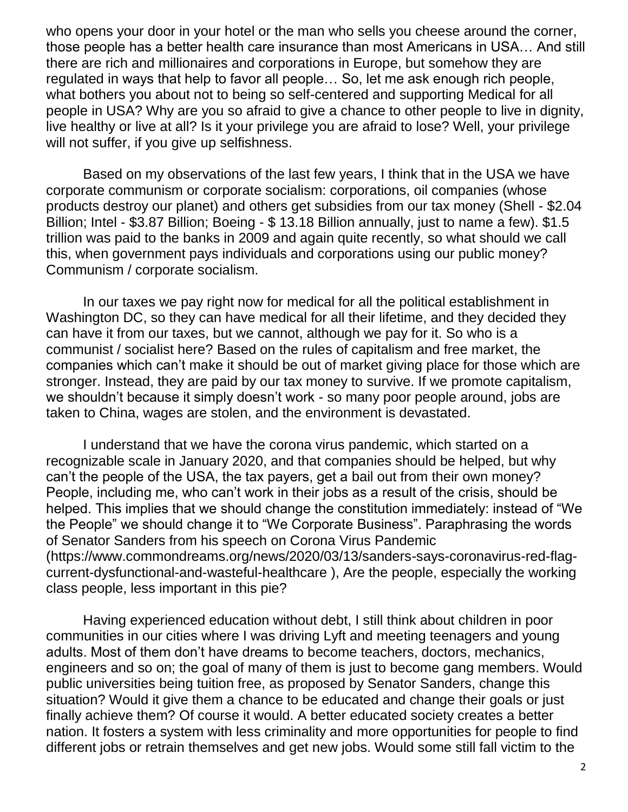who opens your door in your hotel or the man who sells you cheese around the corner, those people has a better health care insurance than most Americans in USA… And still there are rich and millionaires and corporations in Europe, but somehow they are regulated in ways that help to favor all people… So, let me ask enough rich people, what bothers you about not to being so self-centered and supporting Medical for all people in USA? Why are you so afraid to give a chance to other people to live in dignity, live healthy or live at all? Is it your privilege you are afraid to lose? Well, your privilege will not suffer, if you give up selfishness.

Based on my observations of the last few years, I think that in the USA we have corporate communism or corporate socialism: corporations, oil companies (whose products destroy our planet) and others get subsidies from our tax money (Shell - \$2.04 Billion; Intel - \$3.87 Billion; Boeing - \$ 13.18 Billion annually, just to name a few). \$1.5 trillion was paid to the banks in 2009 and again quite recently, so what should we call this, when government pays individuals and corporations using our public money? Communism / corporate socialism.

In our taxes we pay right now for medical for all the political establishment in Washington DC, so they can have medical for all their lifetime, and they decided they can have it from our taxes, but we cannot, although we pay for it. So who is a communist / socialist here? Based on the rules of capitalism and free market, the companies which can't make it should be out of market giving place for those which are stronger. Instead, they are paid by our tax money to survive. If we promote capitalism, we shouldn't because it simply doesn't work - so many poor people around, jobs are taken to China, wages are stolen, and the environment is devastated.

I understand that we have the corona virus pandemic, which started on a recognizable scale in January 2020, and that companies should be helped, but why can't the people of the USA, the tax payers, get a bail out from their own money? People, including me, who can't work in their jobs as a result of the crisis, should be helped. This implies that we should change the constitution immediately: instead of "We the People" we should change it to "We Corporate Business". Paraphrasing the words of Senator Sanders from his speech on Corona Virus Pandemic (https://www.commondreams.org/news/2020/03/13/sanders-says-coronavirus-red-flagcurrent-dysfunctional-and-wasteful-healthcare ), Are the people, especially the working class people, less important in this pie?

Having experienced education without debt, I still think about children in poor communities in our cities where I was driving Lyft and meeting teenagers and young adults. Most of them don't have dreams to become teachers, doctors, mechanics, engineers and so on; the goal of many of them is just to become gang members. Would public universities being tuition free, as proposed by Senator Sanders, change this situation? Would it give them a chance to be educated and change their goals or just finally achieve them? Of course it would. A better educated society creates a better nation. It fosters a system with less criminality and more opportunities for people to find different jobs or retrain themselves and get new jobs. Would some still fall victim to the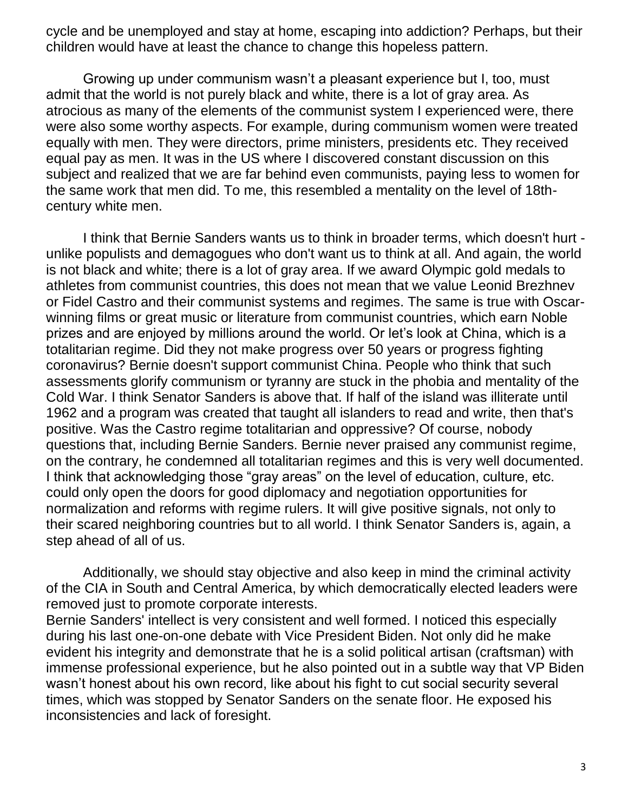cycle and be unemployed and stay at home, escaping into addiction? Perhaps, but their children would have at least the chance to change this hopeless pattern.

Growing up under communism wasn't a pleasant experience but I, too, must admit that the world is not purely black and white, there is a lot of gray area. As atrocious as many of the elements of the communist system I experienced were, there were also some worthy aspects. For example, during communism women were treated equally with men. They were directors, prime ministers, presidents etc. They received equal pay as men. It was in the US where I discovered constant discussion on this subject and realized that we are far behind even communists, paying less to women for the same work that men did. To me, this resembled a mentality on the level of 18thcentury white men.

I think that Bernie Sanders wants us to think in broader terms, which doesn't hurt unlike populists and demagogues who don't want us to think at all. And again, the world is not black and white; there is a lot of gray area. If we award Olympic gold medals to athletes from communist countries, this does not mean that we value Leonid Brezhnev or Fidel Castro and their communist systems and regimes. The same is true with Oscarwinning films or great music or literature from communist countries, which earn Noble prizes and are enjoyed by millions around the world. Or let's look at China, which is a totalitarian regime. Did they not make progress over 50 years or progress fighting coronavirus? Bernie doesn't support communist China. People who think that such assessments glorify communism or tyranny are stuck in the phobia and mentality of the Cold War. I think Senator Sanders is above that. If half of the island was illiterate until 1962 and a program was created that taught all islanders to read and write, then that's positive. Was the Castro regime totalitarian and oppressive? Of course, nobody questions that, including Bernie Sanders. Bernie never praised any communist regime, on the contrary, he condemned all totalitarian regimes and this is very well documented. I think that acknowledging those "gray areas" on the level of education, culture, etc. could only open the doors for good diplomacy and negotiation opportunities for normalization and reforms with regime rulers. It will give positive signals, not only to their scared neighboring countries but to all world. I think Senator Sanders is, again, a step ahead of all of us.

Additionally, we should stay objective and also keep in mind the criminal activity of the CIA in South and Central America, by which democratically elected leaders were removed just to promote corporate interests.

Bernie Sanders' intellect is very consistent and well formed. I noticed this especially during his last one-on-one debate with Vice President Biden. Not only did he make evident his integrity and demonstrate that he is a solid political artisan (craftsman) with immense professional experience, but he also pointed out in a subtle way that VP Biden wasn't honest about his own record, like about his fight to cut social security several times, which was stopped by Senator Sanders on the senate floor. He exposed his inconsistencies and lack of foresight.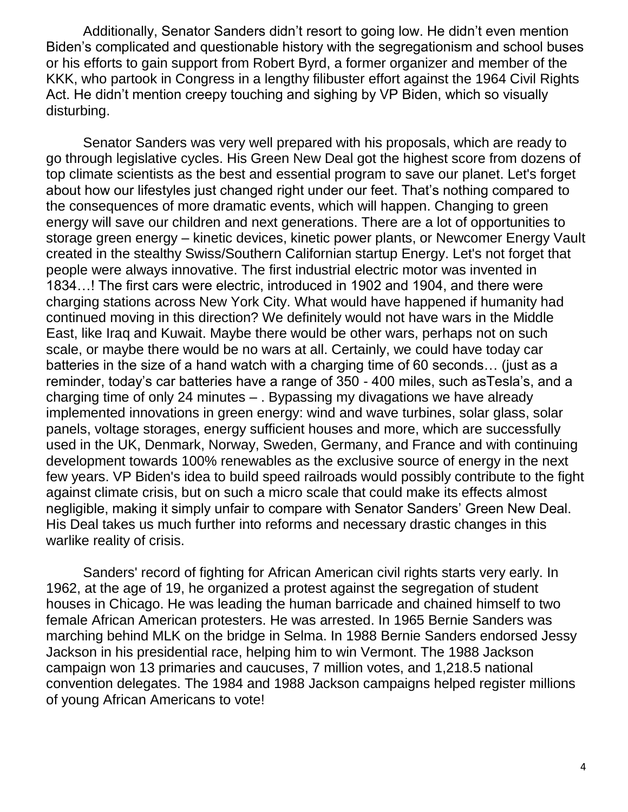Additionally, Senator Sanders didn't resort to going low. He didn't even mention Biden's complicated and questionable history with the segregationism and school buses or his efforts to gain support from Robert Byrd, a former organizer and member of the KKK, who partook in Congress in a lengthy filibuster effort against the 1964 Civil Rights Act. He didn't mention creepy touching and sighing by VP Biden, which so visually disturbing.

Senator Sanders was very well prepared with his proposals, which are ready to go through legislative cycles. His Green New Deal got the highest score from dozens of top climate scientists as the best and essential program to save our planet. Let's forget about how our lifestyles just changed right under our feet. That's nothing compared to the consequences of more dramatic events, which will happen. Changing to green energy will save our children and next generations. There are a lot of opportunities to storage green energy – kinetic devices, kinetic power plants, or Newcomer Energy Vault created in the stealthy Swiss/Southern Californian startup Energy. Let's not forget that people were always innovative. The first industrial electric motor was invented in 1834…! The first cars were electric, introduced in 1902 and 1904, and there were charging stations across New York City. What would have happened if humanity had continued moving in this direction? We definitely would not have wars in the Middle East, like Iraq and Kuwait. Maybe there would be other wars, perhaps not on such scale, or maybe there would be no wars at all. Certainly, we could have today car batteries in the size of a hand watch with a charging time of 60 seconds… (just as a reminder, today's car batteries have a range of 350 - 400 miles, such asTesla's, and a charging time of only 24 minutes – . Bypassing my divagations we have already implemented innovations in green energy: wind and wave turbines, solar glass, solar panels, voltage storages, energy sufficient houses and more, which are successfully used in the UK, Denmark, Norway, Sweden, Germany, and France and with continuing development towards 100% renewables as the exclusive source of energy in the next few years. VP Biden's idea to build speed railroads would possibly contribute to the fight against climate crisis, but on such a micro scale that could make its effects almost negligible, making it simply unfair to compare with Senator Sanders' Green New Deal. His Deal takes us much further into reforms and necessary drastic changes in this warlike reality of crisis.

Sanders' record of fighting for African American civil rights starts very early. In 1962, at the age of 19, he organized a protest against the segregation of student houses in Chicago. He was leading the human barricade and chained himself to two female African American protesters. He was arrested. In 1965 Bernie Sanders was marching behind MLK on the bridge in Selma. In 1988 Bernie Sanders endorsed Jessy Jackson in his presidential race, helping him to win Vermont. The 1988 Jackson campaign won 13 primaries and caucuses, 7 million votes, and 1,218.5 national convention delegates. The 1984 and 1988 Jackson campaigns helped register millions of young African Americans to vote!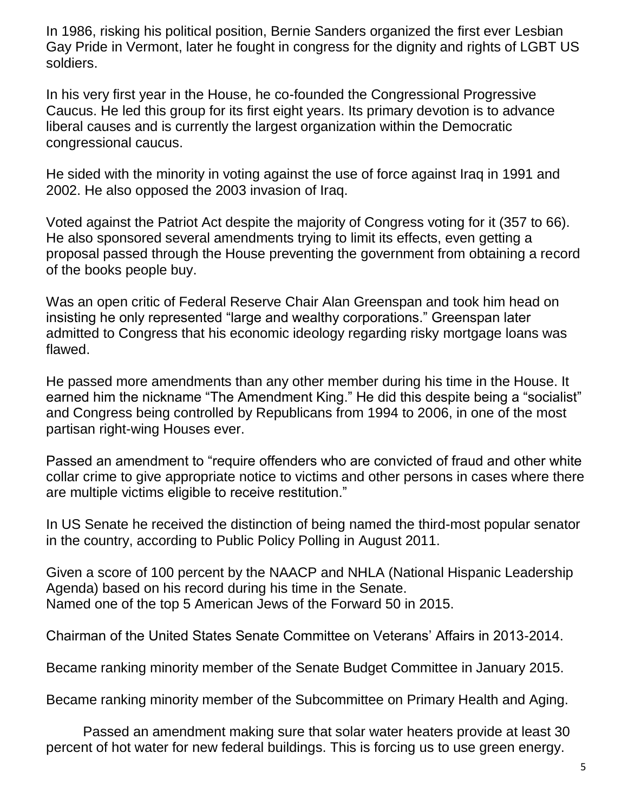In 1986, risking his political position, Bernie Sanders organized the first ever Lesbian Gay Pride in Vermont, later he fought in congress for the dignity and rights of LGBT US soldiers.

In his very first year in the House, he co-founded the Congressional Progressive Caucus. He led this group for its first eight years. Its primary devotion is to advance liberal causes and is currently the largest organization within the Democratic congressional caucus.

He sided with the minority in voting against the use of force against Iraq in 1991 and 2002. He also opposed the 2003 invasion of Iraq.

Voted against the Patriot Act despite the majority of Congress voting for it (357 to 66). He also sponsored several amendments trying to limit its effects, even getting a proposal passed through the House preventing the government from obtaining a record of the books people buy.

Was an open critic of Federal Reserve Chair Alan Greenspan and took him head on insisting he only represented "large and wealthy corporations." Greenspan later admitted to Congress that his economic ideology regarding risky mortgage loans was flawed.

He passed more amendments than any other member during his time in the House. It earned him the nickname "The Amendment King." He did this despite being a "socialist" and Congress being controlled by Republicans from 1994 to 2006, in one of the most partisan right-wing Houses ever.

Passed an amendment to "require offenders who are convicted of fraud and other white collar crime to give appropriate notice to victims and other persons in cases where there are multiple victims eligible to receive restitution."

In US Senate he received the distinction of being named the third-most popular senator in the country, according to Public Policy Polling in August 2011.

Given a score of 100 percent by the NAACP and NHLA (National Hispanic Leadership Agenda) based on his record during his time in the Senate. Named one of the top 5 American Jews of the Forward 50 in 2015.

Chairman of the United States Senate Committee on Veterans' Affairs in 2013-2014.

Became ranking minority member of the Senate Budget Committee in January 2015.

Became ranking minority member of the Subcommittee on Primary Health and Aging.

Passed an amendment making sure that solar water heaters provide at least 30 percent of hot water for new federal buildings. This is forcing us to use green energy.